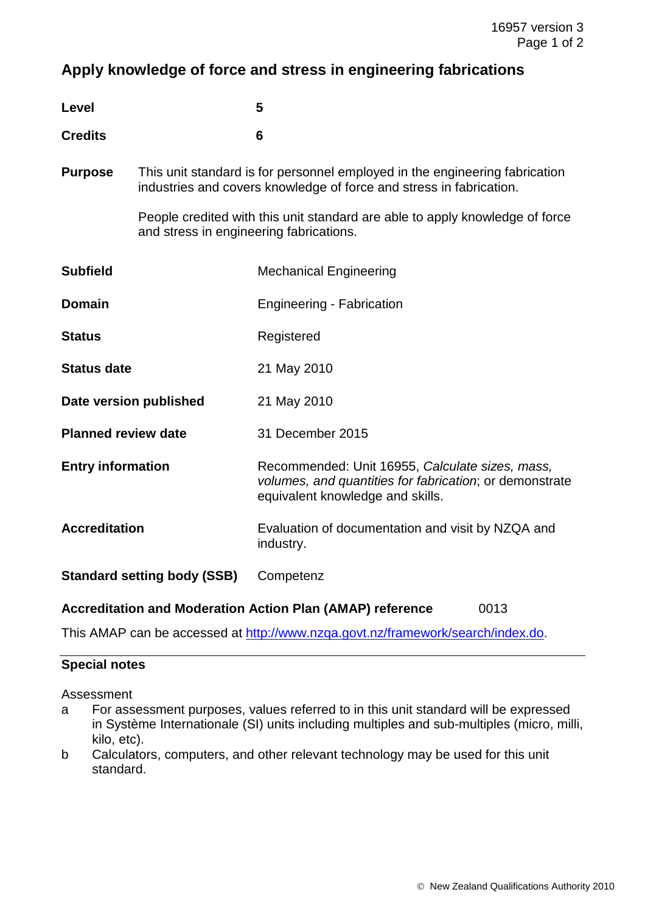# **Apply knowledge of force and stress in engineering fabrications**

| Level          | 5 |
|----------------|---|
| <b>Credits</b> | 6 |

**Purpose** This unit standard is for personnel employed in the engineering fabrication industries and covers knowledge of force and stress in fabrication.

> People credited with this unit standard are able to apply knowledge of force and stress in engineering fabrications.

| <b>Subfield</b>                    | <b>Mechanical Engineering</b>                                                                                                                  |
|------------------------------------|------------------------------------------------------------------------------------------------------------------------------------------------|
| <b>Domain</b>                      | <b>Engineering - Fabrication</b>                                                                                                               |
| <b>Status</b>                      | Registered                                                                                                                                     |
| <b>Status date</b>                 | 21 May 2010                                                                                                                                    |
| Date version published             | 21 May 2010                                                                                                                                    |
| <b>Planned review date</b>         | 31 December 2015                                                                                                                               |
| <b>Entry information</b>           | Recommended: Unit 16955, Calculate sizes, mass,<br>volumes, and quantities for fabrication; or demonstrate<br>equivalent knowledge and skills. |
| <b>Accreditation</b>               | Evaluation of documentation and visit by NZQA and<br>industry.                                                                                 |
| <b>Standard setting body (SSB)</b> | Competenz                                                                                                                                      |

### **Accreditation and Moderation Action Plan (AMAP) reference** 0013

This AMAP can be accessed at http://www.nzqa.govt.nz/framework/search/index.do.

#### **Special notes**

Assessment

- a For assessment purposes, values referred to in this unit standard will be expressed in Système Internationale (SI) units including multiples and sub-multiples (micro, milli, kilo, etc).
- b Calculators, computers, and other relevant technology may be used for this unit standard.